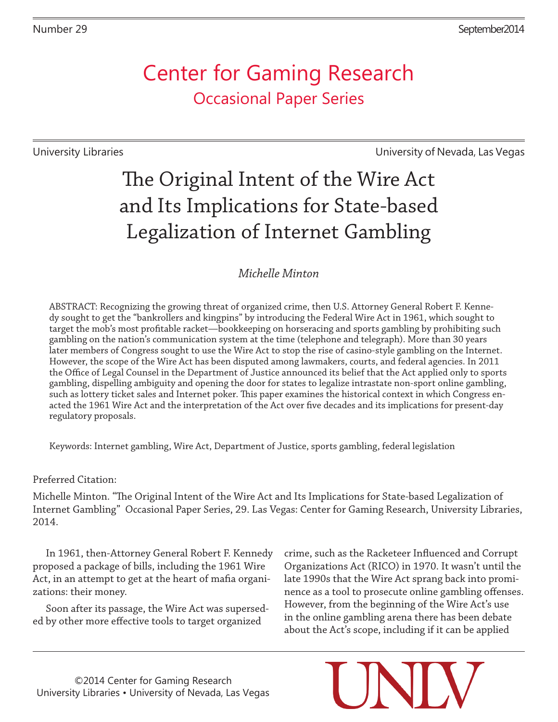## Center for Gaming Research Occasional Paper Series

University Libraries University of Nevada, Las Vegas

# The Original Intent of the Wire Act and Its Implications for State-based Legalization of Internet Gambling

## *Michelle Minton*

ABSTRACT: Recognizing the growing threat of organized crime, then U.S. Attorney General Robert F. Kennedy sought to get the "bankrollers and kingpins" by introducing the Federal Wire Act in 1961, which sought to target the mob's most profitable racket—bookkeeping on horseracing and sports gambling by prohibiting such gambling on the nation's communication system at the time (telephone and telegraph). More than 30 years later members of Congress sought to use the Wire Act to stop the rise of casino-style gambling on the Internet. However, the scope of the Wire Act has been disputed among lawmakers, courts, and federal agencies. In 2011 the Office of Legal Counsel in the Department of Justice announced its belief that the Act applied only to sports gambling, dispelling ambiguity and opening the door for states to legalize intrastate non-sport online gambling, such as lottery ticket sales and Internet poker. This paper examines the historical context in which Congress enacted the 1961 Wire Act and the interpretation of the Act over five decades and its implications for present-day regulatory proposals.

Keywords: Internet gambling, Wire Act, Department of Justice, sports gambling, federal legislation

Preferred Citation:

Michelle Minton. "The Original Intent of the Wire Act and Its Implications for State-based Legalization of Internet Gambling" Occasional Paper Series, 29. Las Vegas: Center for Gaming Research, University Libraries, 2014.

In 1961, then-Attorney General Robert F. Kennedy proposed a package of bills, including the 1961 Wire Act, in an attempt to get at the heart of mafia organizations: their money.

Soon after its passage, the Wire Act was superseded by other more effective tools to target organized

crime, such as the Racketeer Influenced and Corrupt Organizations Act (RICO) in 1970. It wasn't until the late 1990s that the Wire Act sprang back into prominence as a tool to prosecute online gambling offenses. However, from the beginning of the Wire Act's use in the online gambling arena there has been debate about the Act's scope, including if it can be applied

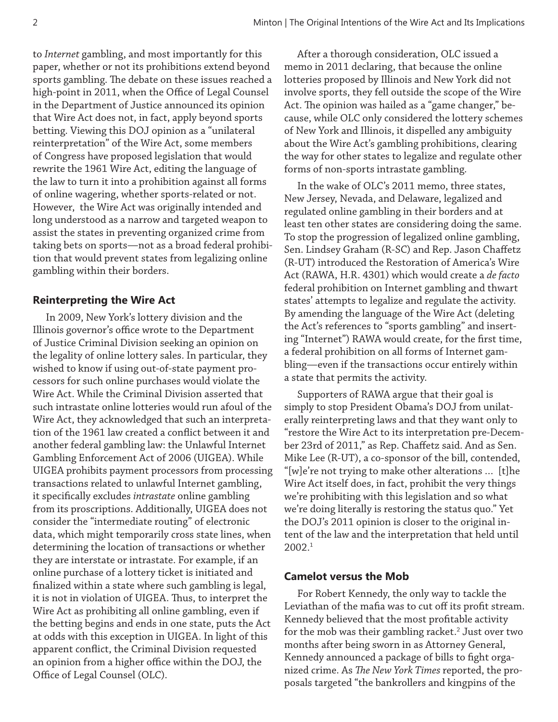to *Internet* gambling, and most importantly for this paper, whether or not its prohibitions extend beyond sports gambling. The debate on these issues reached a high-point in 2011, when the Office of Legal Counsel in the Department of Justice announced its opinion that Wire Act does not, in fact, apply beyond sports betting. Viewing this DOJ opinion as a "unilateral reinterpretation" of the Wire Act, some members of Congress have proposed legislation that would rewrite the 1961 Wire Act, editing the language of the law to turn it into a prohibition against all forms of online wagering, whether sports-related or not. However, the Wire Act was originally intended and long understood as a narrow and targeted weapon to assist the states in preventing organized crime from taking bets on sports—not as a broad federal prohibition that would prevent states from legalizing online gambling within their borders.

#### **Reinterpreting the Wire Act**

In 2009, New York's lottery division and the Illinois governor's office wrote to the Department of Justice Criminal Division seeking an opinion on the legality of online lottery sales. In particular, they wished to know if using out-of-state payment processors for such online purchases would violate the Wire Act. While the Criminal Division asserted that such intrastate online lotteries would run afoul of the Wire Act, they acknowledged that such an interpretation of the 1961 law created a conflict between it and another federal gambling law: the Unlawful Internet Gambling Enforcement Act of 2006 (UIGEA). While UIGEA prohibits payment processors from processing transactions related to unlawful Internet gambling, it specifically excludes *intrastate* online gambling from its proscriptions. Additionally, UIGEA does not consider the "intermediate routing" of electronic data, which might temporarily cross state lines, when determining the location of transactions or whether they are interstate or intrastate. For example, if an online purchase of a lottery ticket is initiated and finalized within a state where such gambling is legal, it is not in violation of UIGEA. Thus, to interpret the Wire Act as prohibiting all online gambling, even if the betting begins and ends in one state, puts the Act at odds with this exception in UIGEA. In light of this apparent conflict, the Criminal Division requested an opinion from a higher office within the DOJ, the Office of Legal Counsel (OLC).

After a thorough consideration, OLC issued a memo in 2011 declaring, that because the online lotteries proposed by Illinois and New York did not involve sports, they fell outside the scope of the Wire Act. The opinion was hailed as a "game changer," because, while OLC only considered the lottery schemes of New York and Illinois, it dispelled any ambiguity about the Wire Act's gambling prohibitions, clearing the way for other states to legalize and regulate other forms of non-sports intrastate gambling.

In the wake of OLC's 2011 memo, three states, New Jersey, Nevada, and Delaware, legalized and regulated online gambling in their borders and at least ten other states are considering doing the same. To stop the progression of legalized online gambling, Sen. Lindsey Graham (R-SC) and Rep. Jason Chaffetz (R-UT) introduced the Restoration of America's Wire Act (RAWA, H.R. 4301) which would create a *de facto*  federal prohibition on Internet gambling and thwart states' attempts to legalize and regulate the activity. By amending the language of the Wire Act (deleting the Act's references to "sports gambling" and inserting "Internet") RAWA would create, for the first time, a federal prohibition on all forms of Internet gambling—even if the transactions occur entirely within a state that permits the activity.

Supporters of RAWA argue that their goal is simply to stop President Obama's DOJ from unilaterally reinterpreting laws and that they want only to "restore the Wire Act to its interpretation pre-December 23rd of 2011," as Rep. Chaffetz said. And as Sen. Mike Lee (R-UT), a co-sponsor of the bill, contended, "[w]e're not trying to make other alterations … [t]he Wire Act itself does, in fact, prohibit the very things we're prohibiting with this legislation and so what we're doing literally is restoring the status quo." Yet the DOJ's 2011 opinion is closer to the original intent of the law and the interpretation that held until 2002.1

#### **Camelot versus the Mob**

For Robert Kennedy, the only way to tackle the Leviathan of the mafia was to cut off its profit stream. Kennedy believed that the most profitable activity for the mob was their gambling racket. $^2$  Just over two months after being sworn in as Attorney General, Kennedy announced a package of bills to fight organized crime. As *The New York Times* reported, the proposals targeted "the bankrollers and kingpins of the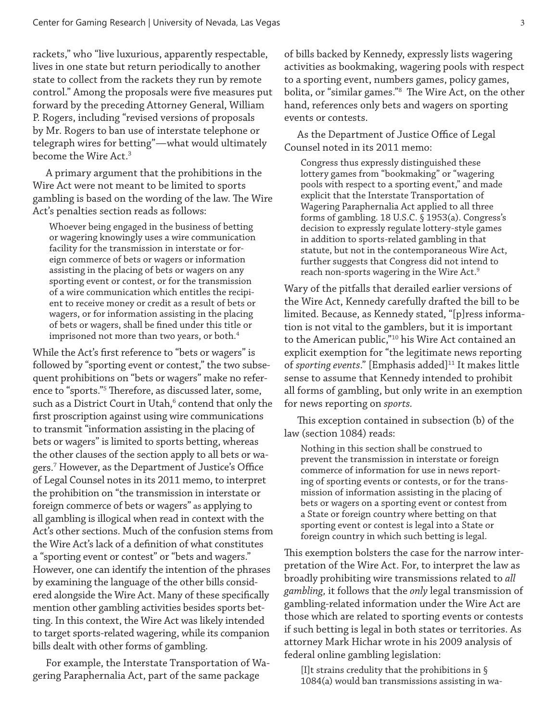rackets," who "live luxurious, apparently respectable, lives in one state but return periodically to another state to collect from the rackets they run by remote control." Among the proposals were five measures put forward by the preceding Attorney General, William P. Rogers, including "revised versions of proposals by Mr. Rogers to ban use of interstate telephone or telegraph wires for betting"—what would ultimately become the Wire Act.3

A primary argument that the prohibitions in the Wire Act were not meant to be limited to sports gambling is based on the wording of the law. The Wire Act's penalties section reads as follows:

Whoever being engaged in the business of betting or wagering knowingly uses a wire communication facility for the transmission in interstate or foreign commerce of bets or wagers or information assisting in the placing of bets or wagers on any sporting event or contest, or for the transmission of a wire communication which entitles the recipient to receive money or credit as a result of bets or wagers, or for information assisting in the placing of bets or wagers, shall be fined under this title or imprisoned not more than two years, or both.<sup>4</sup>

While the Act's first reference to "bets or wagers" is followed by "sporting event or contest," the two subsequent prohibitions on "bets or wagers" make no reference to "sports."5 Therefore, as discussed later, some, such as a District Court in Utah, $^6$  contend that only the first proscription against using wire communications to transmit "information assisting in the placing of bets or wagers" is limited to sports betting, whereas the other clauses of the section apply to all bets or wagers.7 However, as the Department of Justice's Office of Legal Counsel notes in its 2011 memo, to interpret the prohibition on "the transmission in interstate or foreign commerce of bets or wagers" as applying to all gambling is illogical when read in context with the Act's other sections. Much of the confusion stems from the Wire Act's lack of a definition of what constitutes a "sporting event or contest" or "bets and wagers." However, one can identify the intention of the phrases by examining the language of the other bills considered alongside the Wire Act. Many of these specifically mention other gambling activities besides sports betting. In this context, the Wire Act was likely intended to target sports-related wagering, while its companion bills dealt with other forms of gambling.

For example, the Interstate Transportation of Wagering Paraphernalia Act, part of the same package

of bills backed by Kennedy, expressly lists wagering activities as bookmaking, wagering pools with respect to a sporting event, numbers games, policy games, bolita, or "similar games."8 The Wire Act, on the other hand, references only bets and wagers on sporting events or contests.

As the Department of Justice Office of Legal Counsel noted in its 2011 memo:

Congress thus expressly distinguished these lottery games from "bookmaking" or "wagering pools with respect to a sporting event," and made explicit that the Interstate Transportation of Wagering Paraphernalia Act applied to all three forms of gambling. 18 U.S.C. § 1953(a). Congress's decision to expressly regulate lottery-style games in addition to sports-related gambling in that statute, but not in the contemporaneous Wire Act, further suggests that Congress did not intend to reach non-sports wagering in the Wire Act.<sup>9</sup>

Wary of the pitfalls that derailed earlier versions of the Wire Act, Kennedy carefully drafted the bill to be limited. Because, as Kennedy stated, "[p]ress information is not vital to the gamblers, but it is important to the American public,"10 his Wire Act contained an explicit exemption for "the legitimate news reporting of *sporting events*." [Emphasis added]<sup>11</sup> It makes little sense to assume that Kennedy intended to prohibit all forms of gambling, but only write in an exemption for news reporting on *sports.* 

This exception contained in subsection (b) of the law (section 1084) reads:

Nothing in this section shall be construed to prevent the transmission in interstate or foreign commerce of information for use in news reporting of sporting events or contests, or for the transmission of information assisting in the placing of bets or wagers on a sporting event or contest from a State or foreign country where betting on that sporting event or contest is legal into a State or foreign country in which such betting is legal.

This exemption bolsters the case for the narrow interpretation of the Wire Act. For, to interpret the law as broadly prohibiting wire transmissions related to *all gambling,* it follows that the *only* legal transmission of gambling-related information under the Wire Act are those which are related to sporting events or contests if such betting is legal in both states or territories. As attorney Mark Hichar wrote in his 2009 analysis of federal online gambling legislation:

[I]t strains credulity that the prohibitions in § 1084(a) would ban transmissions assisting in wa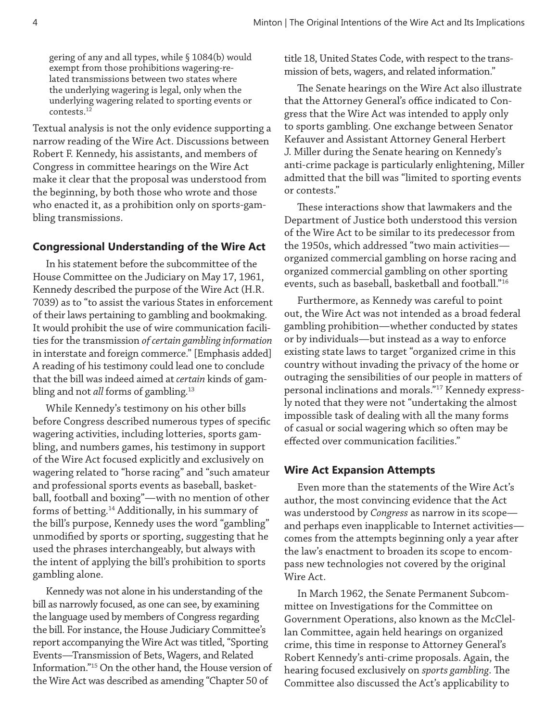gering of any and all types, while § 1084(b) would exempt from those prohibitions wagering-related transmissions between two states where the underlying wagering is legal, only when the underlying wagering related to sporting events or contests.12

Textual analysis is not the only evidence supporting a narrow reading of the Wire Act. Discussions between Robert F. Kennedy, his assistants, and members of Congress in committee hearings on the Wire Act make it clear that the proposal was understood from the beginning, by both those who wrote and those who enacted it, as a prohibition only on sports-gambling transmissions.

#### **Congressional Understanding of the Wire Act**

In his statement before the subcommittee of the House Committee on the Judiciary on May 17, 1961, Kennedy described the purpose of the Wire Act (H.R. 7039) as to "to assist the various States in enforcement of their laws pertaining to gambling and bookmaking. It would prohibit the use of wire communication facilities for the transmission *of certain gambling information* in interstate and foreign commerce." [Emphasis added] A reading of his testimony could lead one to conclude that the bill was indeed aimed at *certain* kinds of gambling and not *all* forms of gambling.<sup>13</sup>

While Kennedy's testimony on his other bills before Congress described numerous types of specific wagering activities, including lotteries, sports gambling, and numbers games, his testimony in support of the Wire Act focused explicitly and exclusively on wagering related to "horse racing" and "such amateur and professional sports events as baseball, basketball, football and boxing"—with no mention of other forms of betting.14 Additionally, in his summary of the bill's purpose, Kennedy uses the word "gambling" unmodified by sports or sporting, suggesting that he used the phrases interchangeably, but always with the intent of applying the bill's prohibition to sports gambling alone.

Kennedy was not alone in his understanding of the bill as narrowly focused, as one can see, by examining the language used by members of Congress regarding the bill. For instance, the House Judiciary Committee's report accompanying the Wire Act was titled, "Sporting Events—Transmission of Bets, Wagers, and Related Information."15 On the other hand, the House version of the Wire Act was described as amending "Chapter 50 of

title 18, United States Code, with respect to the transmission of bets, wagers, and related information."

The Senate hearings on the Wire Act also illustrate that the Attorney General's office indicated to Congress that the Wire Act was intended to apply only to sports gambling. One exchange between Senator Kefauver and Assistant Attorney General Herbert J. Miller during the Senate hearing on Kennedy's anti-crime package is particularly enlightening, Miller admitted that the bill was "limited to sporting events or contests."

These interactions show that lawmakers and the Department of Justice both understood this version of the Wire Act to be similar to its predecessor from the 1950s, which addressed "two main activities organized commercial gambling on horse racing and organized commercial gambling on other sporting events, such as baseball, basketball and football."16

Furthermore, as Kennedy was careful to point out, the Wire Act was not intended as a broad federal gambling prohibition—whether conducted by states or by individuals—but instead as a way to enforce existing state laws to target "organized crime in this country without invading the privacy of the home or outraging the sensibilities of our people in matters of personal inclinations and morals."17 Kennedy expressly noted that they were not "undertaking the almost impossible task of dealing with all the many forms of casual or social wagering which so often may be effected over communication facilities."

#### **Wire Act Expansion Attempts**

Even more than the statements of the Wire Act's author, the most convincing evidence that the Act was understood by *Congress* as narrow in its scope and perhaps even inapplicable to Internet activities comes from the attempts beginning only a year after the law's enactment to broaden its scope to encompass new technologies not covered by the original Wire Act.

In March 1962, the Senate Permanent Subcommittee on Investigations for the Committee on Government Operations, also known as the McClellan Committee, again held hearings on organized crime, this time in response to Attorney General's Robert Kennedy's anti-crime proposals. Again, the hearing focused exclusively on *sports gambling*. The Committee also discussed the Act's applicability to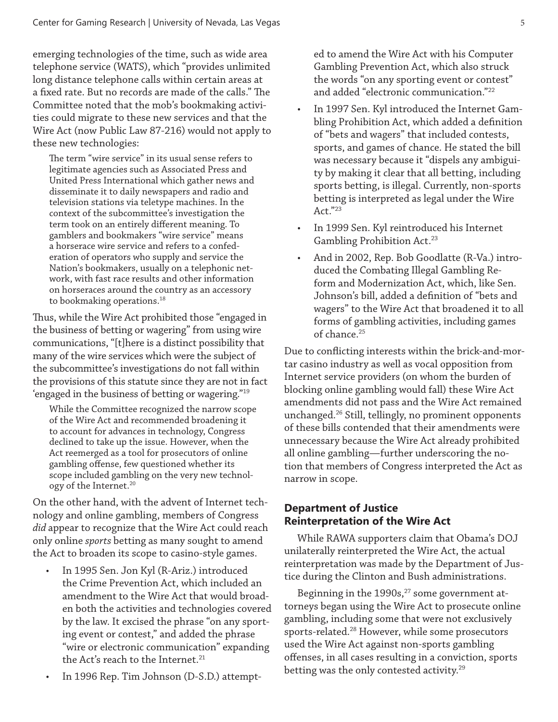emerging technologies of the time, such as wide area telephone service (WATS), which "provides unlimited long distance telephone calls within certain areas at a fixed rate. But no records are made of the calls." The Committee noted that the mob's bookmaking activities could migrate to these new services and that the Wire Act (now Public Law 87-216) would not apply to these new technologies:

The term "wire service" in its usual sense refers to legitimate agencies such as Associated Press and United Press International which gather news and disseminate it to daily newspapers and radio and television stations via teletype machines. In the context of the subcommittee's investigation the term took on an entirely different meaning. To gamblers and bookmakers "wire service" means a horserace wire service and refers to a confederation of operators who supply and service the Nation's bookmakers, usually on a telephonic network, with fast race results and other information on horseraces around the country as an accessory to bookmaking operations.<sup>18</sup>

Thus, while the Wire Act prohibited those "engaged in the business of betting or wagering" from using wire communications, "[t]here is a distinct possibility that many of the wire services which were the subject of the subcommittee's investigations do not fall within the provisions of this statute since they are not in fact 'engaged in the business of betting or wagering."19

While the Committee recognized the narrow scope of the Wire Act and recommended broadening it to account for advances in technology, Congress declined to take up the issue. However, when the Act reemerged as a tool for prosecutors of online gambling offense, few questioned whether its scope included gambling on the very new technology of the Internet.20

On the other hand, with the advent of Internet technology and online gambling, members of Congress *did* appear to recognize that the Wire Act could reach only online *sports* betting as many sought to amend the Act to broaden its scope to casino-style games.

- In 1995 Sen. Jon Kyl (R-Ariz.) introduced the Crime Prevention Act, which included an amendment to the Wire Act that would broaden both the activities and technologies covered by the law. It excised the phrase "on any sporting event or contest," and added the phrase "wire or electronic communication" expanding the Act's reach to the Internet.<sup>21</sup>
- In 1996 Rep. Tim Johnson (D-S.D.) attempt-

ed to amend the Wire Act with his Computer Gambling Prevention Act, which also struck the words "on any sporting event or contest" and added "electronic communication."22

- In 1997 Sen. Kyl introduced the Internet Gambling Prohibition Act, which added a definition of "bets and wagers" that included contests, sports, and games of chance. He stated the bill was necessary because it "dispels any ambiguity by making it clear that all betting, including sports betting, is illegal. Currently, non-sports betting is interpreted as legal under the Wire Act."23
- In 1999 Sen. Kyl reintroduced his Internet Gambling Prohibition Act.<sup>23</sup>
- And in 2002, Rep. Bob Goodlatte (R-Va.) introduced the Combating Illegal Gambling Reform and Modernization Act, which, like Sen. Johnson's bill, added a definition of "bets and wagers" to the Wire Act that broadened it to all forms of gambling activities, including games of chance.<sup>25</sup>

Due to conflicting interests within the brick-and-mortar casino industry as well as vocal opposition from Internet service providers (on whom the burden of blocking online gambling would fall) these Wire Act amendments did not pass and the Wire Act remained unchanged.26 Still, tellingly, no prominent opponents of these bills contended that their amendments were unnecessary because the Wire Act already prohibited all online gambling—further underscoring the notion that members of Congress interpreted the Act as narrow in scope.

#### **Department of Justice Reinterpretation of the Wire Act**

While RAWA supporters claim that Obama's DOJ unilaterally reinterpreted the Wire Act, the actual reinterpretation was made by the Department of Justice during the Clinton and Bush administrations.

Beginning in the  $1990s$ ,<sup>27</sup> some government attorneys began using the Wire Act to prosecute online gambling, including some that were not exclusively sports-related.<sup>28</sup> However, while some prosecutors used the Wire Act against non-sports gambling offenses, in all cases resulting in a conviction, sports betting was the only contested activity.<sup>29</sup>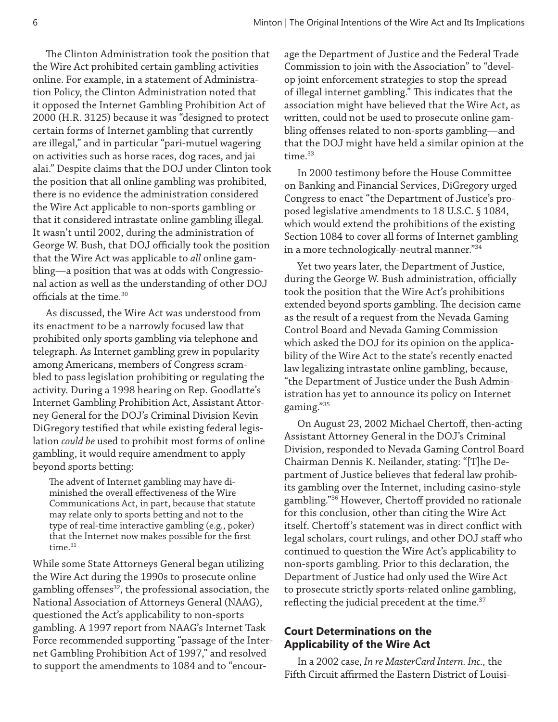The Clinton Administration took the position that the Wire Act prohibited certain gambling activities online. For example, in a statement of Administration Policy, the Clinton Administration noted that it opposed the Internet Gambling Prohibition Act of 2000 (H.R. 3125) because it was "designed to protect certain forms of Internet gambling that currently are illegal," and in particular "pari-mutuel wagering on activities such as horse races, dog races, and jai alai." Despite claims that the DOJ under Clinton took the position that all online gambling was prohibited, there is no evidence the administration considered the Wire Act applicable to non-sports gambling or that it considered intrastate online gambling illegal. It wasn't until 2002, during the administration of George W. Bush, that DOJ officially took the position that the Wire Act was applicable to *all* online gambling—a position that was at odds with Congressional action as well as the understanding of other DOJ officials at the time.30

As discussed, the Wire Act was understood from its enactment to be a narrowly focused law that prohibited only sports gambling via telephone and telegraph. As Internet gambling grew in popularity among Americans, members of Congress scrambled to pass legislation prohibiting or regulating the activity. During a 1998 hearing on Rep. Goodlatte's Internet Gambling Prohibition Act, Assistant Attorney General for the DOJ's Criminal Division Kevin DiGregory testified that while existing federal legislation *could be* used to prohibit most forms of online gambling, it would require amendment to apply beyond sports betting:

The advent of Internet gambling may have diminished the overall effectiveness of the Wire Communications Act, in part, because that statute may relate only to sports betting and not to the type of real-time interactive gambling (e.g., poker) that the Internet now makes possible for the first  $time.<sup>31</sup>$ 

While some State Attorneys General began utilizing the Wire Act during the 1990s to prosecute online gambling offenses<sup>32</sup>, the professional association, the National Association of Attorneys General (NAAG), questioned the Act's applicability to non-sports gambling. A 1997 report from NAAG's Internet Task Force recommended supporting "passage of the Internet Gambling Prohibition Act of 1997," and resolved to support the amendments to 1084 and to "encour-

age the Department of Justice and the Federal Trade Commission to join with the Association" to "develop joint enforcement strategies to stop the spread of illegal internet gambling." This indicates that the association might have believed that the Wire Act, as written, could not be used to prosecute online gambling offenses related to non-sports gambling—and that the DOJ might have held a similar opinion at the time.<sup>33</sup>

In 2000 testimony before the House Committee on Banking and Financial Services, DiGregory urged Congress to enact "the Department of Justice's proposed legislative amendments to 18 U.S.C. § 1084, which would extend the prohibitions of the existing Section 1084 to cover all forms of Internet gambling in a more technologically-neutral manner."34

Yet two years later, the Department of Justice, during the George W. Bush administration, officially took the position that the Wire Act's prohibitions extended beyond sports gambling. The decision came as the result of a request from the Nevada Gaming Control Board and Nevada Gaming Commission which asked the DOJ for its opinion on the applicability of the Wire Act to the state's recently enacted law legalizing intrastate online gambling, because, "the Department of Justice under the Bush Administration has yet to announce its policy on Internet gaming."35

On August 23, 2002 Michael Chertoff, then-acting Assistant Attorney General in the DOJ's Criminal Division, responded to Nevada Gaming Control Board Chairman Dennis K. Neilander, stating: "[T]he Department of Justice believes that federal law prohibits gambling over the Internet, including casino-style gambling."36 However, Chertoff provided no rationale for this conclusion, other than citing the Wire Act itself. Chertoff's statement was in direct conflict with legal scholars, court rulings, and other DOJ staff who continued to question the Wire Act's applicability to non-sports gambling. Prior to this declaration, the Department of Justice had only used the Wire Act to prosecute strictly sports-related online gambling, reflecting the judicial precedent at the time. $37$ 

#### **Court Determinations on the Applicability of the Wire Act**

In a 2002 case, *In re MasterCard Intern. Inc.,* the Fifth Circuit affirmed the Eastern District of Louisi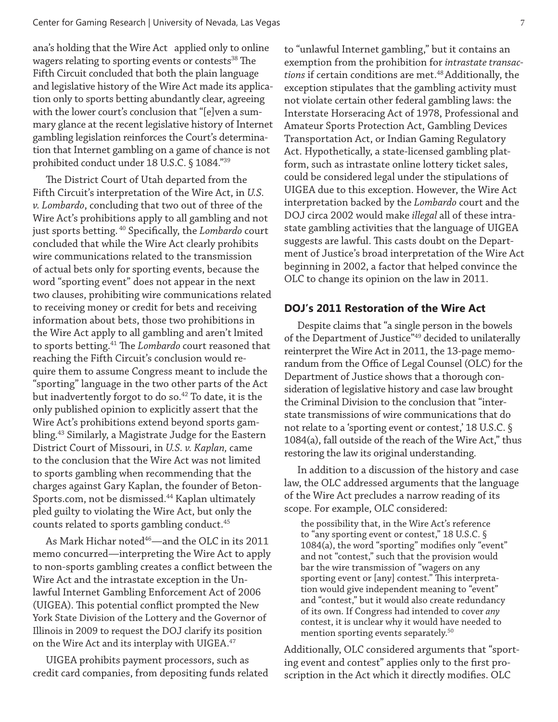ana's holding that the Wire Act applied only to online wagers relating to sporting events or contests<sup>38</sup> The Fifth Circuit concluded that both the plain language and legislative history of the Wire Act made its application only to sports betting abundantly clear, agreeing with the lower court's conclusion that "[e]ven a summary glance at the recent legislative history of Internet gambling legislation reinforces the Court's determination that Internet gambling on a game of chance is not prohibited conduct under 18 U.S.C. § 1084."39

The District Court of Utah departed from the Fifth Circuit's interpretation of the Wire Act, in *U.S. v. Lombardo*, concluding that two out of three of the Wire Act's prohibitions apply to all gambling and not just sports betting. 40 Specifically, the *Lombardo* court concluded that while the Wire Act clearly prohibits wire communications related to the transmission of actual bets only for sporting events, because the word "sporting event" does not appear in the next two clauses, prohibiting wire communications related to receiving money or credit for bets and receiving information about bets, those two prohibitions in the Wire Act apply to all gambling and aren't lmited to sports betting.41 The *Lombardo* court reasoned that reaching the Fifth Circuit's conclusion would require them to assume Congress meant to include the "sporting" language in the two other parts of the Act but inadvertently forgot to do so.<sup>42</sup> To date, it is the only published opinion to explicitly assert that the Wire Act's prohibitions extend beyond sports gambling.43 Similarly, a Magistrate Judge for the Eastern District Court of Missouri, in *U.S. v. Kaplan,* came to the conclusion that the Wire Act was not limited to sports gambling when recommending that the charges against Gary Kaplan, the founder of Beton-Sports.com, not be dismissed.<sup>44</sup> Kaplan ultimately pled guilty to violating the Wire Act, but only the counts related to sports gambling conduct.<sup>45</sup>

As Mark Hichar noted<sup>46</sup>—and the OLC in its 2011 memo concurred—interpreting the Wire Act to apply to non-sports gambling creates a conflict between the Wire Act and the intrastate exception in the Unlawful Internet Gambling Enforcement Act of 2006 (UIGEA). This potential conflict prompted the New York State Division of the Lottery and the Governor of Illinois in 2009 to request the DOJ clarify its position on the Wire Act and its interplay with UIGEA.<sup>47</sup>

UIGEA prohibits payment processors, such as credit card companies, from depositing funds related

to "unlawful Internet gambling," but it contains an exemption from the prohibition for *intrastate transac*tions if certain conditions are met.<sup>48</sup> Additionally, the exception stipulates that the gambling activity must not violate certain other federal gambling laws: the Interstate Horseracing Act of 1978, Professional and Amateur Sports Protection Act, Gambling Devices Transportation Act, or Indian Gaming Regulatory Act. Hypothetically, a state-licensed gambling platform, such as intrastate online lottery ticket sales, could be considered legal under the stipulations of UIGEA due to this exception. However, the Wire Act interpretation backed by the *Lombardo* court and the DOJ circa 2002 would make *illegal* all of these intrastate gambling activities that the language of UIGEA suggests are lawful. This casts doubt on the Department of Justice's broad interpretation of the Wire Act beginning in 2002, a factor that helped convince the OLC to change its opinion on the law in 2011.

#### **DOJ's 2011 Restoration of the Wire Act**

Despite claims that "a single person in the bowels of the Department of Justice"<sup>49</sup> decided to unilaterally reinterpret the Wire Act in 2011, the 13-page memorandum from the Office of Legal Counsel (OLC) for the Department of Justice shows that a thorough consideration of legislative history and case law brought the Criminal Division to the conclusion that "interstate transmissions of wire communications that do not relate to a 'sporting event or contest,' 18 U.S.C. § 1084(a), fall outside of the reach of the Wire Act," thus restoring the law its original understanding.

In addition to a discussion of the history and case law, the OLC addressed arguments that the language of the Wire Act precludes a narrow reading of its scope. For example, OLC considered:

the possibility that, in the Wire Act's reference to "any sporting event or contest," 18 U.S.C. § 1084(a), the word "sporting" modifies only "event" and not "contest," such that the provision would bar the wire transmission of "wagers on any sporting event or [any] contest." This interpretation would give independent meaning to "event" and "contest," but it would also create redundancy of its own. If Congress had intended to cover *any*  contest, it is unclear why it would have needed to mention sporting events separately.<sup>50</sup>

Additionally, OLC considered arguments that "sporting event and contest" applies only to the first proscription in the Act which it directly modifies. OLC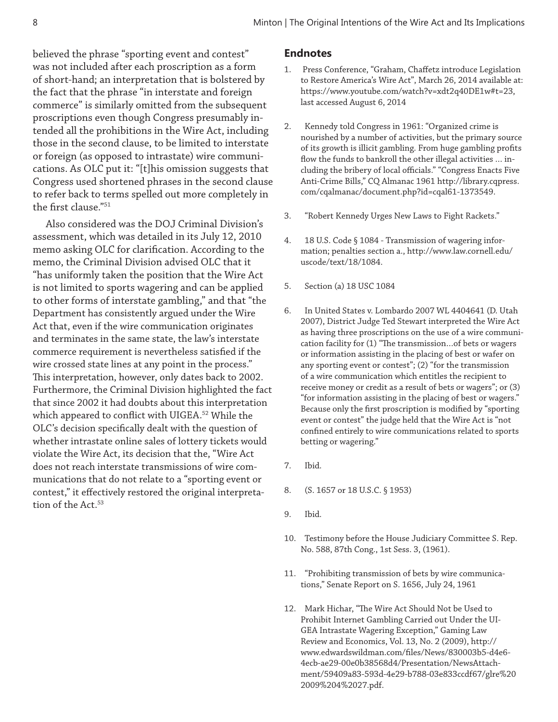believed the phrase "sporting event and contest" was not included after each proscription as a form of short-hand; an interpretation that is bolstered by the fact that the phrase "in interstate and foreign commerce" is similarly omitted from the subsequent proscriptions even though Congress presumably intended all the prohibitions in the Wire Act, including those in the second clause, to be limited to interstate or foreign (as opposed to intrastate) wire communications. As OLC put it: "[t]his omission suggests that Congress used shortened phrases in the second clause to refer back to terms spelled out more completely in the first clause."51

Also considered was the DOJ Criminal Division's assessment, which was detailed in its July 12, 2010 memo asking OLC for clarification. According to the memo, the Criminal Division advised OLC that it "has uniformly taken the position that the Wire Act is not limited to sports wagering and can be applied to other forms of interstate gambling," and that "the Department has consistently argued under the Wire Act that, even if the wire communication originates and terminates in the same state, the law's interstate commerce requirement is nevertheless satisfied if the wire crossed state lines at any point in the process." This interpretation, however, only dates back to 2002. Furthermore, the Criminal Division highlighted the fact that since 2002 it had doubts about this interpretation which appeared to conflict with UIGEA.<sup>52</sup> While the OLC's decision specifically dealt with the question of whether intrastate online sales of lottery tickets would violate the Wire Act, its decision that the, "Wire Act does not reach interstate transmissions of wire communications that do not relate to a "sporting event or contest," it effectively restored the original interpretation of the Act.<sup>53</sup>

#### **Endnotes**

- 1. Press Conference, "Graham, Chaffetz introduce Legislation to Restore America's Wire Act", March 26, 2014 available at: https://www.youtube.com/watch?v=xdt2q40DE1w#t=23, last accessed August 6, 2014
- 2. Kennedy told Congress in 1961: "Organized crime is nourished by a number of activities, but the primary source of its growth is illicit gambling. From huge gambling profits flow the funds to bankroll the other illegal activities … including the bribery of local officials." "Congress Enacts Five Anti-Crime Bills," CQ Almanac 1961 http://library.cqpress. com/cqalmanac/document.php?id=cqal61-1373549.
- 3. "Robert Kennedy Urges New Laws to Fight Rackets."
- 4. 18 U.S. Code § 1084 Transmission of wagering information; penalties section a., http://www.law.cornell.edu/ uscode/text/18/1084.
- 5. Section (a) 18 USC 1084
- 6. In United States v. Lombardo 2007 WL 4404641 (D. Utah 2007), District Judge Ted Stewart interpreted the Wire Act as having three proscriptions on the use of a wire communication facility for (1) "The transmission…of bets or wagers or information assisting in the placing of best or wafer on any sporting event or contest"; (2) "for the transmission of a wire communication which entitles the recipient to receive money or credit as a result of bets or wagers"; or (3) "for information assisting in the placing of best or wagers." Because only the first proscription is modified by "sporting event or contest" the judge held that the Wire Act is "not confined entirely to wire communications related to sports betting or wagering."
- 7. Ibid.
- 8. (S. 1657 or 18 U.S.C. § 1953)
- 9. Ibid.
- 10. Testimony before the House Judiciary Committee S. Rep. No. 588, 87th Cong., 1st Sess. 3, (1961).
- 11. "Prohibiting transmission of bets by wire communications," Senate Report on S. 1656, July 24, 1961
- 12. Mark Hichar, "The Wire Act Should Not be Used to Prohibit Internet Gambling Carried out Under the UI-GEA Intrastate Wagering Exception," Gaming Law Review and Economics, Vol. 13, No. 2 (2009), http:// www.edwardswildman.com/files/News/830003b5-d4e6- 4ecb-ae29-00e0b38568d4/Presentation/NewsAttachment/59409a83-593d-4e29-b788-03e833ccdf67/glre%20 2009%204%2027.pdf.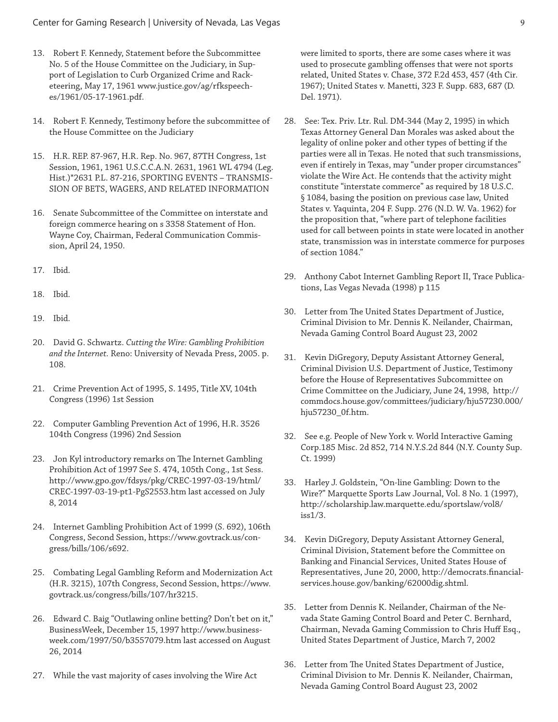- 13. Robert F. Kennedy, Statement before the Subcommittee No. 5 of the House Committee on the Judiciary, in Support of Legislation to Curb Organized Crime and Racketeering, May 17, 1961 www.justice.gov/ag/rfkspeeches/1961/05-17-1961.pdf.
- 14. Robert F. Kennedy, Testimony before the subcommittee of the House Committee on the Judiciary
- 15. H.R. REP. 87-967, H.R. Rep. No. 967, 87TH Congress, 1st Session, 1961, 1961 U.S.C.C.A.N. 2631, 1961 WL 4794 (Leg. Hist.)\*2631 P.L. 87-216, SPORTING EVENTS – TRANSMIS-SION OF BETS, WAGERS, AND RELATED INFORMATION
- 16. Senate Subcommittee of the Committee on interstate and foreign commerce hearing on s 3358 Statement of Hon. Wayne Coy, Chairman, Federal Communication Commission, April 24, 1950.
- 17. Ibid.
- 18. Ibid.
- 19. Ibid.
- 20. David G. Schwartz. *Cutting the Wire: Gambling Prohibition and the Internet.* Reno: University of Nevada Press, 2005. p. 108.
- 21. Crime Prevention Act of 1995, S. 1495, Title XV, 104th Congress (1996) 1st Session
- 22. Computer Gambling Prevention Act of 1996, H.R. 3526 104th Congress (1996) 2nd Session
- 23. Jon Kyl introductory remarks on The Internet Gambling Prohibition Act of 1997 See S. 474, 105th Cong., 1st Sess. http://www.gpo.gov/fdsys/pkg/CREC-1997-03-19/html/ CREC-1997-03-19-pt1-PgS2553.htm last accessed on July 8, 2014
- 24. Internet Gambling Prohibition Act of 1999 (S. 692), 106th Congress, Second Session, https://www.govtrack.us/congress/bills/106/s692.
- 25. Combating Legal Gambling Reform and Modernization Act (H.R. 3215), 107th Congress, Second Session, https://www. govtrack.us/congress/bills/107/hr3215.
- 26. Edward C. Baig "Outlawing online betting? Don't bet on it," BusinessWeek, December 15, 1997 http://www.businessweek.com/1997/50/b3557079.htm last accessed on August 26, 2014
- 27. While the vast majority of cases involving the Wire Act

were limited to sports, there are some cases where it was used to prosecute gambling offenses that were not sports related, United States v. Chase, 372 F.2d 453, 457 (4th Cir. 1967); United States v. Manetti, 323 F. Supp. 683, 687 (D. Del. 1971).

- 28. See: Tex. Priv. Ltr. Rul. DM-344 (May 2, 1995) in which Texas Attorney General Dan Morales was asked about the legality of online poker and other types of betting if the parties were all in Texas. He noted that such transmissions, even if entirely in Texas, may "under proper circumstances" violate the Wire Act. He contends that the activity might constitute "interstate commerce" as required by 18 U.S.C. § 1084, basing the position on previous case law, United States v. Yaquinta, 204 F. Supp. 276 (N.D. W. Va. 1962) for the proposition that, "where part of telephone facilities used for call between points in state were located in another state, transmission was in interstate commerce for purposes of section 1084."
- 29. Anthony Cabot Internet Gambling Report II, Trace Publications, Las Vegas Nevada (1998) p 115
- 30. Letter from The United States Department of Justice, Criminal Division to Mr. Dennis K. Neilander, Chairman, Nevada Gaming Control Board August 23, 2002
- 31. Kevin DiGregory, Deputy Assistant Attorney General, Criminal Division U.S. Department of Justice, Testimony before the House of Representatives Subcommittee on Crime Committee on the Judiciary, June 24, 1998, http:// commdocs.house.gov/committees/judiciary/hju57230.000/ hju57230\_0f.htm.
- 32. See e.g. People of New York v. World Interactive Gaming Corp.185 Misc. 2d 852, 714 N.Y.S.2d 844 (N.Y. County Sup. Ct. 1999)
- 33. Harley J. Goldstein, "On-line Gambling: Down to the Wire?" Marquette Sports Law Journal, Vol. 8 No. 1 (1997), http://scholarship.law.marquette.edu/sportslaw/vol8/ iss1/3.
- 34. Kevin DiGregory, Deputy Assistant Attorney General, Criminal Division, Statement before the Committee on Banking and Financial Services, United States House of Representatives, June 20, 2000, http://democrats.financialservices.house.gov/banking/62000dig.shtml.
- 35. Letter from Dennis K. Neilander, Chairman of the Nevada State Gaming Control Board and Peter C. Bernhard, Chairman, Nevada Gaming Commission to Chris Huff Esq., United States Department of Justice, March 7, 2002
- 36. Letter from The United States Department of Justice, Criminal Division to Mr. Dennis K. Neilander, Chairman, Nevada Gaming Control Board August 23, 2002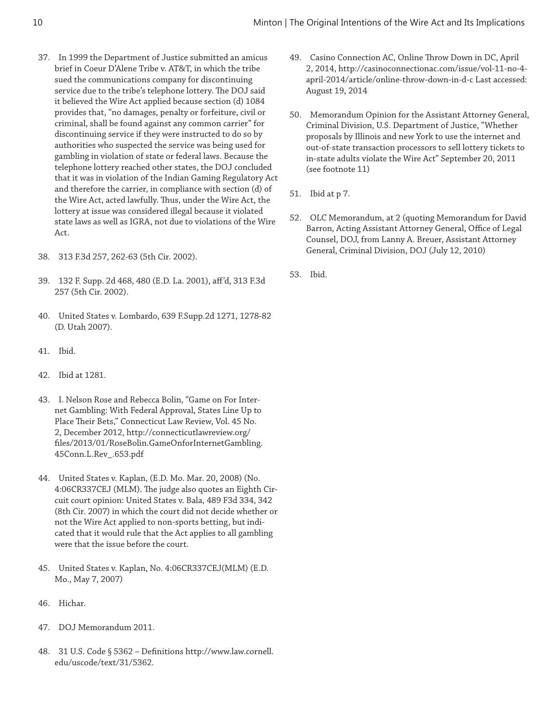- 37. In 1999 the Department of Justice submitted an amicus brief in Coeur D'Alene Tribe v. AT&T, in which the tribe sued the communications company for discontinuing service due to the tribe's telephone lottery. The DOJ said it believed the Wire Act applied because section (d) 1084 provides that, "no damages, penalty or forfeiture, civil or criminal, shall be found against any common carrier" for discontinuing service if they were instructed to do so by authorities who suspected the service was being used for gambling in violation of state or federal laws. Because the telephone lottery reached other states, the DOJ concluded that it was in violation of the Indian Gaming Regulatory Act and therefore the carrier, in compliance with section (d) of the Wire Act, acted lawfully. Thus, under the Wire Act, the lottery at issue was considered illegal because it violated state laws as well as IGRA, not due to violations of the Wire Act.
- 38. 313 F.3d 257, 262-63 (5th Cir. 2002).
- 39. 132 F. Supp. 2d 468, 480 (E.D. La. 2001), aff'd, 313 F.3d 257 (5th Cir. 2002).
- 40. United States v. Lombardo, 639 F.Supp.2d 1271, 1278-82 (D. Utah 2007).
- 41. Ibid.
- 42. Ibid at 1281.
- 43. I. Nelson Rose and Rebecca Bolin, "Game on For Internet Gambling: With Federal Approval, States Line Up to Place Their Bets," Connecticut Law Review, Vol. 45 No. 2, December 2012, http://connecticutlawreview.org/ files/2013/01/RoseBolin.GameOnforInternetGambling. 45Conn.L.Rev\_.653.pdf
- 44. United States v. Kaplan, (E.D. Mo. Mar. 20, 2008) (No. 4:06CR337CEJ (MLM). The judge also quotes an Eighth Circuit court opinion: United States v. Bala, 489 F3d 334, 342 (8th Cir. 2007) in which the court did not decide whether or not the Wire Act applied to non-sports betting, but indicated that it would rule that the Act applies to all gambling were that the issue before the court.
- 45. United States v. Kaplan, No. 4:06CR337CEJ(MLM) (E.D. Mo., May 7, 2007)
- 46. Hichar.
- 47. DOJ Memorandum 2011.
- 48. 31 U.S. Code § 5362 Definitions http://www.law.cornell. edu/uscode/text/31/5362.
- 49. Casino Connection AC, Online Throw Down in DC, April 2, 2014, http://casinoconnectionac.com/issue/vol-11-no-4 april-2014/article/online-throw-down-in-d-c Last accessed: August 19, 2014
- 50. Memorandum Opinion for the Assistant Attorney General, Criminal Division, U.S. Department of Justice, "Whether proposals by Illinois and new York to use the internet and out-of-state transaction processors to sell lottery tickets to in-state adults violate the Wire Act" September 20, 2011 (see footnote 11)
- 51. Ibid at p 7.
- 52. OLC Memorandum, at 2 (quoting Memorandum for David Barron, Acting Assistant Attorney General, Office of Legal Counsel, DOJ, from Lanny A. Breuer, Assistant Attorney General, Criminal Division, DOJ (July 12, 2010)
- 53. Ibid.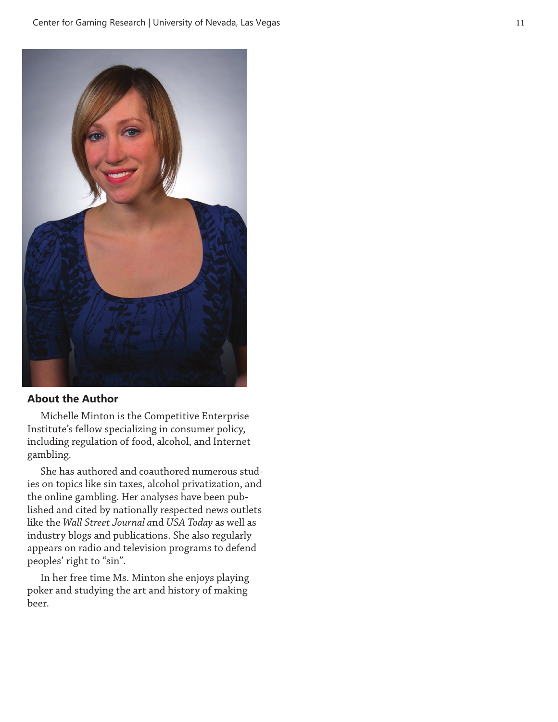

#### **About the Author**

Michelle Minton is the Competitive Enterprise Institute's fellow specializing in consumer policy, including regulation of food, alcohol, and Internet gambling.

She has authored and coauthored numerous studies on topics like sin taxes, alcohol privatization, and the online gambling. Her analyses have been published and cited by nationally respected news outlets like the *Wall Street Journal a*nd *USA Today* as well as industry blogs and publications. She also regularly appears on radio and television programs to defend peoples' right to "sin".

In her free time Ms. Minton she enjoys playing poker and studying the art and history of making beer.